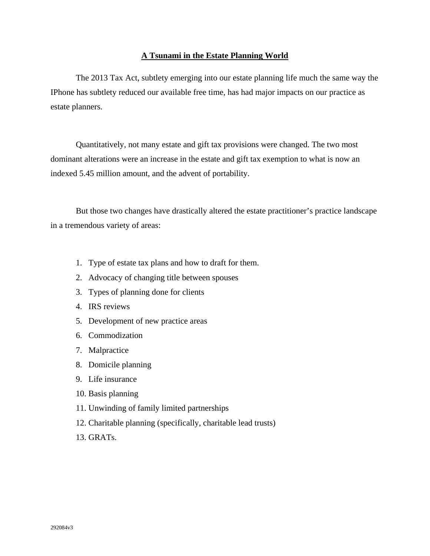### **A Tsunami in the Estate Planning World**

 The 2013 Tax Act, subtlety emerging into our estate planning life much the same way the IPhone has subtlety reduced our available free time, has had major impacts on our practice as estate planners.

 Quantitatively, not many estate and gift tax provisions were changed. The two most dominant alterations were an increase in the estate and gift tax exemption to what is now an indexed 5.45 million amount, and the advent of portability.

 But those two changes have drastically altered the estate practitioner's practice landscape in a tremendous variety of areas:

- 1. Type of estate tax plans and how to draft for them.
- 2. Advocacy of changing title between spouses
- 3. Types of planning done for clients
- 4. IRS reviews
- 5. Development of new practice areas
- 6. Commodization
- 7. Malpractice
- 8. Domicile planning
- 9. Life insurance
- 10. Basis planning
- 11. Unwinding of family limited partnerships
- 12. Charitable planning (specifically, charitable lead trusts)
- 13. GRATs.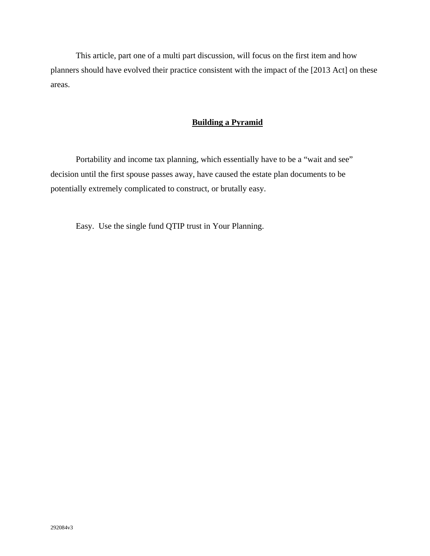This article, part one of a multi part discussion, will focus on the first item and how planners should have evolved their practice consistent with the impact of the [2013 Act] on these areas.

## **Building a Pyramid**

Portability and income tax planning, which essentially have to be a "wait and see" decision until the first spouse passes away, have caused the estate plan documents to be potentially extremely complicated to construct, or brutally easy.

Easy. Use the single fund QTIP trust in Your Planning.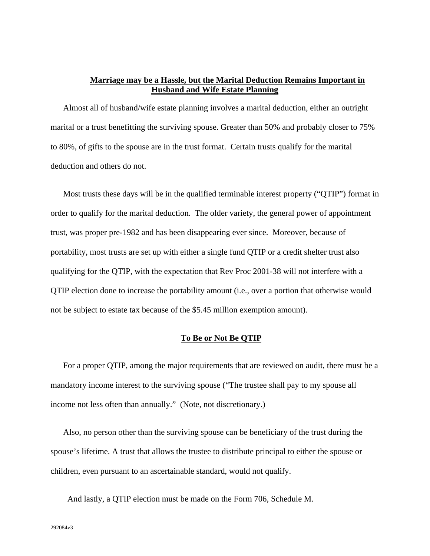### **Marriage may be a Hassle, but the Marital Deduction Remains Important in Husband and Wife Estate Planning**

Almost all of husband/wife estate planning involves a marital deduction, either an outright marital or a trust benefitting the surviving spouse. Greater than 50% and probably closer to 75% to 80%, of gifts to the spouse are in the trust format. Certain trusts qualify for the marital deduction and others do not.

Most trusts these days will be in the qualified terminable interest property ("QTIP") format in order to qualify for the marital deduction. The older variety, the general power of appointment trust, was proper pre-1982 and has been disappearing ever since. Moreover, because of portability, most trusts are set up with either a single fund QTIP or a credit shelter trust also qualifying for the QTIP, with the expectation that Rev Proc 2001-38 will not interfere with a QTIP election done to increase the portability amount (i.e., over a portion that otherwise would not be subject to estate tax because of the \$5.45 million exemption amount).

### **To Be or Not Be QTIP**

For a proper QTIP, among the major requirements that are reviewed on audit, there must be a mandatory income interest to the surviving spouse ("The trustee shall pay to my spouse all income not less often than annually." (Note, not discretionary.)

Also, no person other than the surviving spouse can be beneficiary of the trust during the spouse's lifetime. A trust that allows the trustee to distribute principal to either the spouse or children, even pursuant to an ascertainable standard, would not qualify.

And lastly, a QTIP election must be made on the Form 706, Schedule M.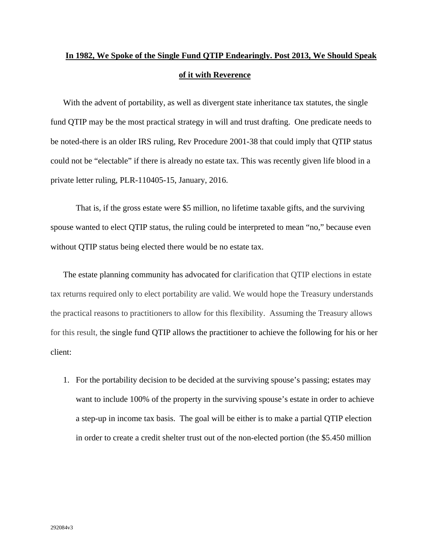# **In 1982, We Spoke of the Single Fund QTIP Endearingly. Post 2013, We Should Speak of it with Reverence**

With the advent of portability, as well as divergent state inheritance tax statutes, the single fund QTIP may be the most practical strategy in will and trust drafting. One predicate needs to be noted-there is an older IRS ruling, Rev Procedure 2001-38 that could imply that QTIP status could not be "electable" if there is already no estate tax. This was recently given life blood in a private letter ruling, PLR-110405-15, January, 2016.

That is, if the gross estate were \$5 million, no lifetime taxable gifts, and the surviving spouse wanted to elect QTIP status, the ruling could be interpreted to mean "no," because even without QTIP status being elected there would be no estate tax.

The estate planning community has advocated for clarification that QTIP elections in estate tax returns required only to elect portability are valid. We would hope the Treasury understands the practical reasons to practitioners to allow for this flexibility. Assuming the Treasury allows for this result, the single fund QTIP allows the practitioner to achieve the following for his or her client:

1. For the portability decision to be decided at the surviving spouse's passing; estates may want to include 100% of the property in the surviving spouse's estate in order to achieve a step-up in income tax basis. The goal will be either is to make a partial QTIP election in order to create a credit shelter trust out of the non-elected portion (the \$5.450 million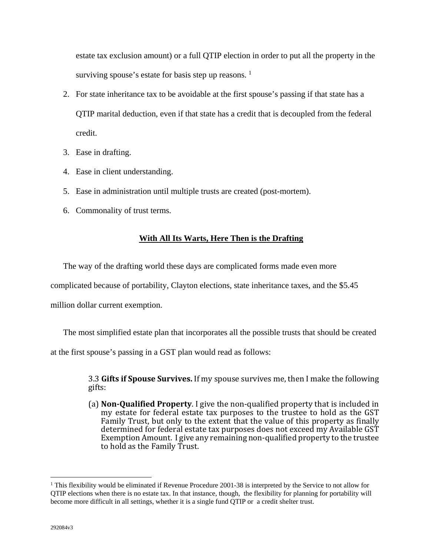estate tax exclusion amount) or a full QTIP election in order to put all the property in the surviving spouse's estate for basis step up reasons.  $<sup>1</sup>$ </sup>

- 2. For state inheritance tax to be avoidable at the first spouse's passing if that state has a QTIP marital deduction, even if that state has a credit that is decoupled from the federal credit.
- 3. Ease in drafting.
- 4. Ease in client understanding.
- 5. Ease in administration until multiple trusts are created (post-mortem).
- 6. Commonality of trust terms.

## **With All Its Warts, Here Then is the Drafting**

The way of the drafting world these days are complicated forms made even more

complicated because of portability, Clayton elections, state inheritance taxes, and the \$5.45

million dollar current exemption.

The most simplified estate plan that incorporates all the possible trusts that should be created

at the first spouse's passing in a GST plan would read as follows:

**3.3 Gifts if Spouse Survives.** If my spouse survives me, then I make the following gifts: 

(a) **Non‐Qualified Property**. I give the non‐qualified property that is included in my estate for federal estate tax purposes to the trustee to hold as the GST Family Trust, but only to the extent that the value of this property as finally determined for federal estate tax purposes does not exceed my Available GST Exemption Amount. I give any remaining non-qualified property to the trustee to hold as the Family Trust.

 $\overline{a}$ 

<sup>&</sup>lt;sup>1</sup> This flexibility would be eliminated if Revenue Procedure 2001-38 is interpreted by the Service to not allow for QTIP elections when there is no estate tax. In that instance, though, the flexibility for planning for portability will become more difficult in all settings, whether it is a single fund QTIP or a credit shelter trust.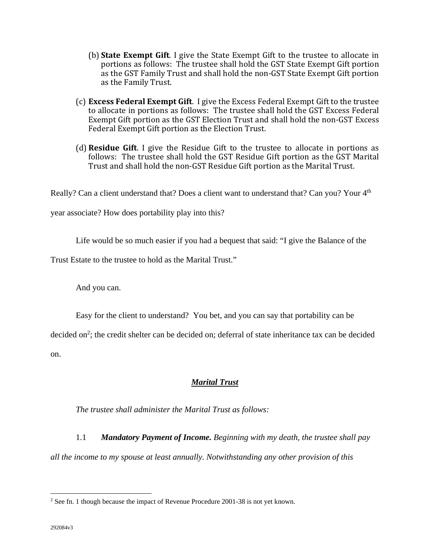- **(b) State Exempt Gift.** I give the State Exempt Gift to the trustee to allocate in portions as follows: The trustee shall hold the GST State Exempt Gift portion as the GST Family Trust and shall hold the non-GST State Exempt Gift portion as the Family Trust.
- (c) **Excess Federal Exempt Gift**. I give the Excess Federal Exempt Gift to the trustee to allocate in portions as follows: The trustee shall hold the GST Excess Federal Exempt Gift portion as the GST Election Trust and shall hold the non-GST Excess Federal Exempt Gift portion as the Election Trust.
- (d) **Residue Gift.** I give the Residue Gift to the trustee to allocate in portions as follows: The trustee shall hold the GST Residue Gift portion as the GST Marital Trust and shall hold the non-GST Residue Gift portion as the Marital Trust.

Really? Can a client understand that? Does a client want to understand that? Can you? Your 4<sup>th</sup>

year associate? How does portability play into this?

Life would be so much easier if you had a bequest that said: "I give the Balance of the

Trust Estate to the trustee to hold as the Marital Trust."

And you can.

Easy for the client to understand? You bet, and you can say that portability can be

decided on<sup>2</sup>; the credit shelter can be decided on; deferral of state inheritance tax can be decided on.

## *Marital Trust*

*The trustee shall administer the Marital Trust as follows:* 

1.1 *Mandatory Payment of Income. Beginning with my death, the trustee shall pay all the income to my spouse at least annually. Notwithstanding any other provision of this* 

 $\overline{a}$ 

 $2^2$  See fn. 1 though because the impact of Revenue Procedure 2001-38 is not yet known.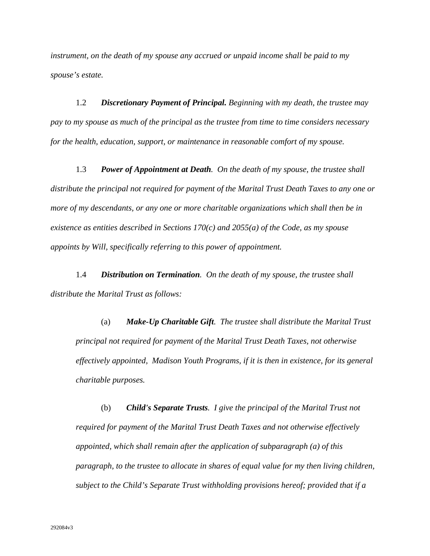*instrument, on the death of my spouse any accrued or unpaid income shall be paid to my spouse's estate.* 

1.2 *Discretionary Payment of Principal. Beginning with my death, the trustee may pay to my spouse as much of the principal as the trustee from time to time considers necessary for the health, education, support, or maintenance in reasonable comfort of my spouse.* 

1.3 *Power of Appointment at Death. On the death of my spouse, the trustee shall distribute the principal not required for payment of the Marital Trust Death Taxes to any one or more of my descendants, or any one or more charitable organizations which shall then be in existence as entities described in Sections 170(c) and 2055(a) of the Code, as my spouse appoints by Will, specifically referring to this power of appointment.* 

1.4 *Distribution on Termination. On the death of my spouse, the trustee shall distribute the Marital Trust as follows:* 

(a) *Make-Up Charitable Gift. The trustee shall distribute the Marital Trust principal not required for payment of the Marital Trust Death Taxes, not otherwise effectively appointed, Madison Youth Programs, if it is then in existence, for its general charitable purposes.* 

(b) *Child's Separate Trusts. I give the principal of the Marital Trust not required for payment of the Marital Trust Death Taxes and not otherwise effectively appointed, which shall remain after the application of subparagraph (a) of this paragraph, to the trustee to allocate in shares of equal value for my then living children, subject to the Child's Separate Trust withholding provisions hereof; provided that if a*